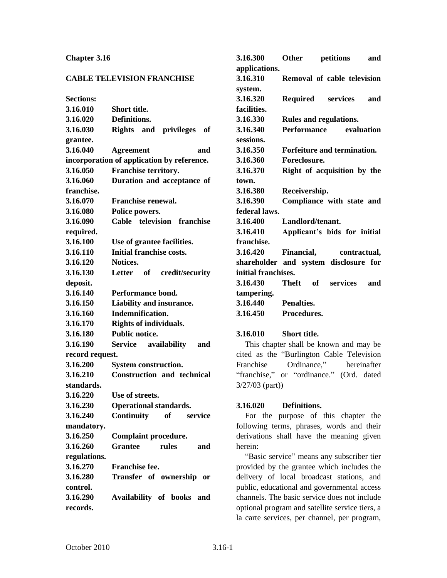#### **Chapter 3.16**

#### **CABLE TELEVISION FRANCHISE**

| <b>Sections:</b> |                                            |
|------------------|--------------------------------------------|
| 3.16.010         | Short title.                               |
| 3.16.020         | Definitions.                               |
| 3.16.030         | <b>Rights</b><br>and privileges<br>of      |
| grantee.         |                                            |
| 3.16.040         | and<br><b>Agreement</b>                    |
|                  | incorporation of application by reference. |
| 3.16.050         | <b>Franchise territory.</b>                |
| 3.16.060         | Duration and acceptance of                 |
| franchise.       |                                            |
| 3.16.070         | Franchise renewal.                         |
| 3.16.080         | Police powers.                             |
| 3.16.090         | Cable television<br>franchise              |
| required.        |                                            |
| 3.16.100         | Use of grantee facilities.                 |
| 3.16.110         | <b>Initial franchise costs.</b>            |
| 3.16.120         | Notices.                                   |
| 3.16.130         | credit/security<br>Letter of               |
| deposit.         |                                            |
| 3.16.140         | Performance bond.                          |
| 3.16.150         | Liability and insurance.                   |
| 3.16.160         | Indemnification.                           |
| 3.16.170         | <b>Rights of individuals.</b>              |
| 3.16.180         | <b>Public notice.</b>                      |
| 3.16.190         | availability<br>Service<br>and             |
| record request.  |                                            |
| 3.16.200         | <b>System construction.</b>                |
| 3.16.210         | <b>Construction and technical</b>          |
| standards.       |                                            |
| 3.16.220         | Use of streets.                            |
| 3.16.230         | <b>Operational standards.</b>              |
| 3.16.240         | <b>Continuity</b><br>of<br>service         |
| mandatory.       |                                            |
| 3.16.250         | <b>Complaint procedure.</b>                |
| 3.16.260         | <b>Grantee</b><br>rules<br>and             |
| regulations.     |                                            |
| 3.16.270         | Franchise fee.                             |
| 3.16.280         | Transfer of ownership or                   |
| control.         |                                            |
| 3.16.290         | Availability of books and                  |
| records.         |                                            |

| 3.16.300            | Other<br>and<br>petitions             |
|---------------------|---------------------------------------|
| applications.       |                                       |
| 3.16.310            | Removal of cable television           |
| system.             |                                       |
| 3.16.320            | <b>Required</b> services<br>and       |
| facilities.         |                                       |
| 3.16.330            | Rules and regulations.                |
| 3.16.340            | Performance evaluation                |
| sessions.           |                                       |
| 3.16.350            | Forfeiture and termination.           |
| 3.16.360            | Foreclosure.                          |
| 3.16.370            | Right of acquisition by the           |
| town.               |                                       |
| 3.16.380            | Receivership.                         |
| 3.16.390            | Compliance with state and             |
| federal laws.       |                                       |
| 3.16.400            | Landlord/tenant.                      |
| 3.16.410            | Applicant's bids for initial          |
| franchise.          |                                       |
| 3.16.420            | Financial,<br>contractual,            |
|                     | shareholder and system disclosure for |
| initial franchises. |                                       |
| 3.16.430            | Theft of<br>services<br>and           |
| tampering.          |                                       |
| 3.16.440            | Penalties.                            |
| 3.16.450            | Procedures.                           |
| 3.16.010            | Short title.                          |

This chapter shall be known and may be cited as the "Burlington Cable Television Franchise Ordinance," hereinafter "franchise," or "ordinance." (Ord. dated 3/27/03 (part))

#### **3.16.020 Definitions.**

For the purpose of this chapter the following terms, phrases, words and their derivations shall have the meaning given herein:

"Basic service" means any subscriber tier provided by the grantee which includes the delivery of local broadcast stations, and public, educational and governmental access channels. The basic service does not include optional program and satellite service tiers, a la carte services, per channel, per program,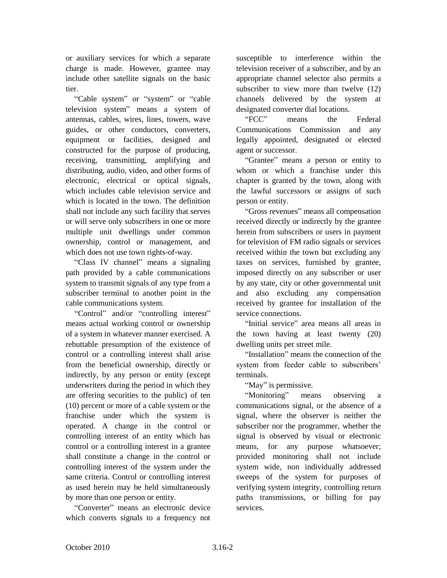or auxiliary services for which a separate charge is made. However, grantee may include other satellite signals on the basic tier.

"Cable system" or "system" or "cable television system" means a system of antennas, cables, wires, lines, towers, wave guides, or other conductors, converters, equipment or facilities, designed and constructed for the purpose of producing, receiving, transmitting, amplifying and distributing, audio, video, and other forms of electronic, electrical or optical signals, which includes cable television service and which is located in the town. The definition shall not include any such facility that serves or will serve only subscribers in one or more multiple unit dwellings under common ownership, control or management, and which does not use town rights-of-way.

"Class IV channel" means a signaling path provided by a cable communications system to transmit signals of any type from a subscriber terminal to another point in the cable communications system.

"Control" and/or "controlling interest" means actual working control or ownership of a system in whatever manner exercised. A rebuttable presumption of the existence of control or a controlling interest shall arise from the beneficial ownership, directly or indirectly, by any person or entity (except underwriters during the period in which they are offering securities to the public) of ten (10) percent or more of a cable system or the franchise under which the system is operated. A change in the control or controlling interest of an entity which has control or a controlling interest in a grantee shall constitute a change in the control or controlling interest of the system under the same criteria. Control or controlling interest as used herein may be held simultaneously by more than one person or entity.

"Converter" means an electronic device which converts signals to a frequency not

susceptible to interference within the television receiver of a subscriber, and by an appropriate channel selector also permits a subscriber to view more than twelve  $(12)$ channels delivered by the system at designated converter dial locations.

"FCC" means the Federal Communications Commission and any legally appointed, designated or elected agent or successor.

"Grantee" means a person or entity to whom or which a franchise under this chapter is granted by the town, along with the lawful successors or assigns of such person or entity.

"Gross revenues" means all compensation received directly or indirectly by the grantee herein from subscribers or users in payment for television of FM radio signals or services received within the town but excluding any taxes on services, furnished by grantee, imposed directly on any subscriber or user by any state, city or other governmental unit and also excluding any compensation received by grantee for installation of the service connections.

"Initial service" area means all areas in the town having at least twenty (20) dwelling units per street mile.

"Installation" means the connection of the system from feeder cable to subscribers' terminals.

"May" is permissive.

"Monitoring" means observing a communications signal, or the absence of a signal, where the observer is neither the subscriber nor the programmer, whether the signal is observed by visual or electronic means, for any purpose whatsoever; provided monitoring shall not include system wide, non individually addressed sweeps of the system for purposes of verifying system integrity, controlling return paths transmissions, or billing for pay services.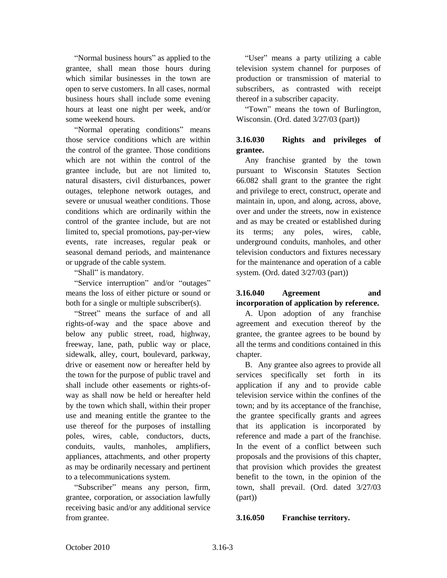"Normal business hours" as applied to the grantee, shall mean those hours during which similar businesses in the town are open to serve customers. In all cases, normal business hours shall include some evening hours at least one night per week, and/or some weekend hours.

"Normal operating conditions" means those service conditions which are within the control of the grantee. Those conditions which are not within the control of the grantee include, but are not limited to, natural disasters, civil disturbances, power outages, telephone network outages, and severe or unusual weather conditions. Those conditions which are ordinarily within the control of the grantee include, but are not limited to, special promotions, pay-per-view events, rate increases, regular peak or seasonal demand periods, and maintenance or upgrade of the cable system.

"Shall" is mandatory.

"Service interruption" and/or "outages" means the loss of either picture or sound or both for a single or multiple subscriber(s).

"Street" means the surface of and all rights-of-way and the space above and below any public street, road, highway, freeway, lane, path, public way or place, sidewalk, alley, court, boulevard, parkway, drive or easement now or hereafter held by the town for the purpose of public travel and shall include other easements or rights-ofway as shall now be held or hereafter held by the town which shall, within their proper use and meaning entitle the grantee to the use thereof for the purposes of installing poles, wires, cable, conductors, ducts, conduits, vaults, manholes, amplifiers, appliances, attachments, and other property as may be ordinarily necessary and pertinent to a telecommunications system.

"Subscriber" means any person, firm, grantee, corporation, or association lawfully receiving basic and/or any additional service from grantee.

"User" means a party utilizing a cable television system channel for purposes of production or transmission of material to subscribers, as contrasted with receipt thereof in a subscriber capacity.

"Town" means the town of Burlington, Wisconsin. (Ord. dated 3/27/03 (part))

# **3.16.030 Rights and privileges of grantee.**

Any franchise granted by the town pursuant to Wisconsin Statutes Section 66.082 shall grant to the grantee the right and privilege to erect, construct, operate and maintain in, upon, and along, across, above, over and under the streets, now in existence and as may be created or established during its terms; any poles, wires, cable, underground conduits, manholes, and other television conductors and fixtures necessary for the maintenance and operation of a cable system. (Ord. dated 3/27/03 (part))

# **3.16.040 Agreement and incorporation of application by reference.**

A. Upon adoption of any franchise agreement and execution thereof by the grantee, the grantee agrees to be bound by all the terms and conditions contained in this chapter.

B. Any grantee also agrees to provide all services specifically set forth in its application if any and to provide cable television service within the confines of the town; and by its acceptance of the franchise, the grantee specifically grants and agrees that its application is incorporated by reference and made a part of the franchise. In the event of a conflict between such proposals and the provisions of this chapter, that provision which provides the greatest benefit to the town, in the opinion of the town, shall prevail. (Ord. dated 3/27/03 (part))

### **3.16.050 Franchise territory.**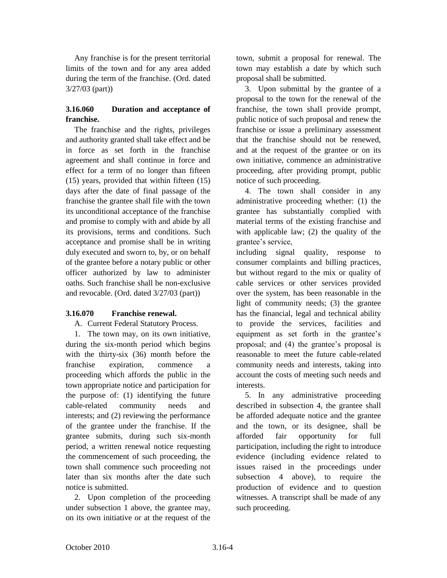Any franchise is for the present territorial limits of the town and for any area added during the term of the franchise. (Ord. dated 3/27/03 (part))

## **3.16.060 Duration and acceptance of franchise.**

The franchise and the rights, privileges and authority granted shall take effect and be in force as set forth in the franchise agreement and shall continue in force and effect for a term of no longer than fifteen (15) years, provided that within fifteen (15) days after the date of final passage of the franchise the grantee shall file with the town its unconditional acceptance of the franchise and promise to comply with and abide by all its provisions, terms and conditions. Such acceptance and promise shall be in writing duly executed and sworn to, by, or on behalf of the grantee before a notary public or other officer authorized by law to administer oaths. Such franchise shall be non-exclusive and revocable. (Ord. dated 3/27/03 (part))

### **3.16.070 Franchise renewal.**

A. Current Federal Statutory Process.

1. The town may, on its own initiative, during the six-month period which begins with the thirty-six (36) month before the franchise expiration, commence a proceeding which affords the public in the town appropriate notice and participation for the purpose of: (1) identifying the future cable-related community needs and interests; and (2) reviewing the performance of the grantee under the franchise. If the grantee submits, during such six-month period, a written renewal notice requesting the commencement of such proceeding, the town shall commence such proceeding not later than six months after the date such notice is submitted.

2. Upon completion of the proceeding under subsection 1 above, the grantee may, on its own initiative or at the request of the

town, submit a proposal for renewal. The town may establish a date by which such proposal shall be submitted.

3. Upon submittal by the grantee of a proposal to the town for the renewal of the franchise, the town shall provide prompt, public notice of such proposal and renew the franchise or issue a preliminary assessment that the franchise should not be renewed, and at the request of the grantee or on its own initiative, commence an administrative proceeding, after providing prompt, public notice of such proceeding.

4. The town shall consider in any administrative proceeding whether: (1) the grantee has substantially complied with material terms of the existing franchise and with applicable law; (2) the quality of the grantee's service,

including signal quality, response to consumer complaints and billing practices, but without regard to the mix or quality of cable services or other services provided over the system, has been reasonable in the light of community needs; (3) the grantee has the financial, legal and technical ability to provide the services, facilities and equipment as set forth in the grantee's proposal; and (4) the grantee's proposal is reasonable to meet the future cable-related community needs and interests, taking into account the costs of meeting such needs and interests.

5. In any administrative proceeding described in subsection 4, the grantee shall be afforded adequate notice and the grantee and the town, or its designee, shall be afforded fair opportunity for full participation, including the right to introduce evidence (including evidence related to issues raised in the proceedings under subsection 4 above), to require the production of evidence and to question witnesses. A transcript shall be made of any such proceeding.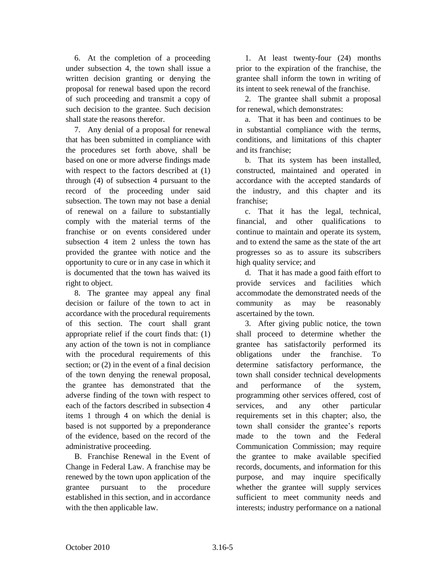6. At the completion of a proceeding under subsection 4, the town shall issue a written decision granting or denying the proposal for renewal based upon the record of such proceeding and transmit a copy of such decision to the grantee. Such decision shall state the reasons therefor.

7. Any denial of a proposal for renewal that has been submitted in compliance with the procedures set forth above, shall be based on one or more adverse findings made with respect to the factors described at  $(1)$ through (4) of subsection 4 pursuant to the record of the proceeding under said subsection. The town may not base a denial of renewal on a failure to substantially comply with the material terms of the franchise or on events considered under subsection 4 item 2 unless the town has provided the grantee with notice and the opportunity to cure or in any case in which it is documented that the town has waived its right to object.

8. The grantee may appeal any final decision or failure of the town to act in accordance with the procedural requirements of this section. The court shall grant appropriate relief if the court finds that: (1) any action of the town is not in compliance with the procedural requirements of this section; or (2) in the event of a final decision of the town denying the renewal proposal, the grantee has demonstrated that the adverse finding of the town with respect to each of the factors described in subsection 4 items 1 through 4 on which the denial is based is not supported by a preponderance of the evidence, based on the record of the administrative proceeding.

B. Franchise Renewal in the Event of Change in Federal Law. A franchise may be renewed by the town upon application of the grantee pursuant to the procedure established in this section, and in accordance with the then applicable law.

1. At least twenty-four (24) months prior to the expiration of the franchise, the grantee shall inform the town in writing of its intent to seek renewal of the franchise.

2. The grantee shall submit a proposal for renewal, which demonstrates:

a. That it has been and continues to be in substantial compliance with the terms, conditions, and limitations of this chapter and its franchise;

b. That its system has been installed, constructed, maintained and operated in accordance with the accepted standards of the industry, and this chapter and its franchise;

c. That it has the legal, technical, financial, and other qualifications to continue to maintain and operate its system, and to extend the same as the state of the art progresses so as to assure its subscribers high quality service; and

d. That it has made a good faith effort to provide services and facilities which accommodate the demonstrated needs of the community as may be reasonably ascertained by the town.

3. After giving public notice, the town shall proceed to determine whether the grantee has satisfactorily performed its obligations under the franchise. To determine satisfactory performance, the town shall consider technical developments and performance of the system, programming other services offered, cost of services, and any other particular requirements set in this chapter; also, the town shall consider the grantee's reports made to the town and the Federal Communication Commission; may require the grantee to make available specified records, documents, and information for this purpose, and may inquire specifically whether the grantee will supply services sufficient to meet community needs and interests; industry performance on a national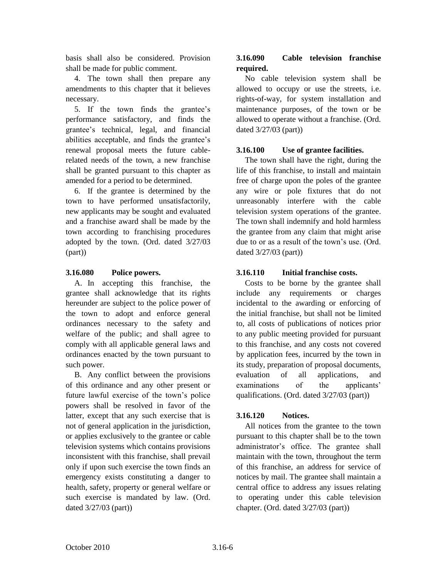basis shall also be considered. Provision shall be made for public comment.

4. The town shall then prepare any amendments to this chapter that it believes necessary.

5. If the town finds the grantee's performance satisfactory, and finds the grantee's technical, legal, and financial abilities acceptable, and finds the grantee's renewal proposal meets the future cablerelated needs of the town, a new franchise shall be granted pursuant to this chapter as amended for a period to be determined.

6. If the grantee is determined by the town to have performed unsatisfactorily, new applicants may be sought and evaluated and a franchise award shall be made by the town according to franchising procedures adopted by the town. (Ord. dated 3/27/03 (part))

## **3.16.080 Police powers.**

A. In accepting this franchise, the grantee shall acknowledge that its rights hereunder are subject to the police power of the town to adopt and enforce general ordinances necessary to the safety and welfare of the public; and shall agree to comply with all applicable general laws and ordinances enacted by the town pursuant to such power.

B. Any conflict between the provisions of this ordinance and any other present or future lawful exercise of the town's police powers shall be resolved in favor of the latter, except that any such exercise that is not of general application in the jurisdiction, or applies exclusively to the grantee or cable television systems which contains provisions inconsistent with this franchise, shall prevail only if upon such exercise the town finds an emergency exists constituting a danger to health, safety, property or general welfare or such exercise is mandated by law. (Ord. dated 3/27/03 (part))

# **3.16.090 Cable television franchise required.**

No cable television system shall be allowed to occupy or use the streets, i.e. rights-of-way, for system installation and maintenance purposes, of the town or be allowed to operate without a franchise. (Ord. dated 3/27/03 (part))

# **3.16.100 Use of grantee facilities.**

The town shall have the right, during the life of this franchise, to install and maintain free of charge upon the poles of the grantee any wire or pole fixtures that do not unreasonably interfere with the cable television system operations of the grantee. The town shall indemnify and hold harmless the grantee from any claim that might arise due to or as a result of the town's use. (Ord. dated 3/27/03 (part))

## **3.16.110 Initial franchise costs.**

Costs to be borne by the grantee shall include any requirements or charges incidental to the awarding or enforcing of the initial franchise, but shall not be limited to, all costs of publications of notices prior to any public meeting provided for pursuant to this franchise, and any costs not covered by application fees, incurred by the town in its study, preparation of proposal documents, evaluation of all applications, and examinations of the applicants' qualifications. (Ord. dated 3/27/03 (part))

### **3.16.120 Notices.**

All notices from the grantee to the town pursuant to this chapter shall be to the town administrator's office. The grantee shall maintain with the town, throughout the term of this franchise, an address for service of notices by mail. The grantee shall maintain a central office to address any issues relating to operating under this cable television chapter. (Ord. dated 3/27/03 (part))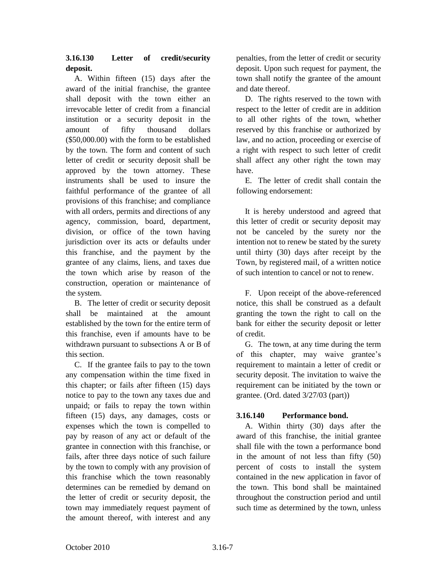# **3.16.130 Letter of credit/security deposit.**

A. Within fifteen (15) days after the award of the initial franchise, the grantee shall deposit with the town either an irrevocable letter of credit from a financial institution or a security deposit in the amount of fifty thousand dollars (\$50,000.00) with the form to be established by the town. The form and content of such letter of credit or security deposit shall be approved by the town attorney. These instruments shall be used to insure the faithful performance of the grantee of all provisions of this franchise; and compliance with all orders, permits and directions of any agency, commission, board, department, division, or office of the town having jurisdiction over its acts or defaults under this franchise, and the payment by the grantee of any claims, liens, and taxes due the town which arise by reason of the construction, operation or maintenance of the system.

B. The letter of credit or security deposit shall be maintained at the amount established by the town for the entire term of this franchise, even if amounts have to be withdrawn pursuant to subsections A or B of this section.

C. If the grantee fails to pay to the town any compensation within the time fixed in this chapter; or fails after fifteen (15) days notice to pay to the town any taxes due and unpaid; or fails to repay the town within fifteen (15) days, any damages, costs or expenses which the town is compelled to pay by reason of any act or default of the grantee in connection with this franchise, or fails, after three days notice of such failure by the town to comply with any provision of this franchise which the town reasonably determines can be remedied by demand on the letter of credit or security deposit, the town may immediately request payment of the amount thereof, with interest and any

penalties, from the letter of credit or security deposit. Upon such request for payment, the town shall notify the grantee of the amount and date thereof.

D. The rights reserved to the town with respect to the letter of credit are in addition to all other rights of the town, whether reserved by this franchise or authorized by law, and no action, proceeding or exercise of a right with respect to such letter of credit shall affect any other right the town may have.

E. The letter of credit shall contain the following endorsement:

It is hereby understood and agreed that this letter of credit or security deposit may not be canceled by the surety nor the intention not to renew be stated by the surety until thirty (30) days after receipt by the Town, by registered mail, of a written notice of such intention to cancel or not to renew.

F. Upon receipt of the above-referenced notice, this shall be construed as a default granting the town the right to call on the bank for either the security deposit or letter of credit.

G. The town, at any time during the term of this chapter, may waive grantee's requirement to maintain a letter of credit or security deposit. The invitation to waive the requirement can be initiated by the town or grantee. (Ord. dated 3/27/03 (part))

### **3.16.140 Performance bond.**

A. Within thirty (30) days after the award of this franchise, the initial grantee shall file with the town a performance bond in the amount of not less than fifty (50) percent of costs to install the system contained in the new application in favor of the town. This bond shall be maintained throughout the construction period and until such time as determined by the town, unless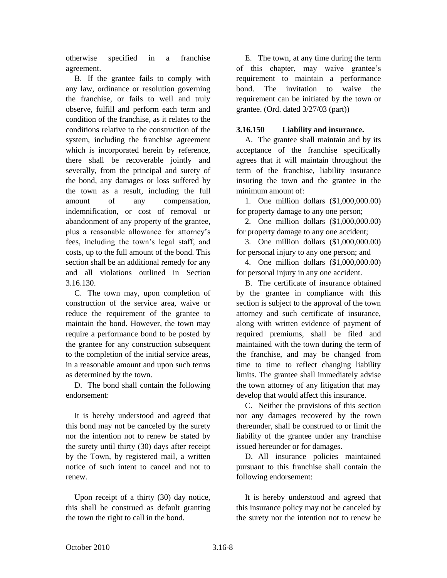otherwise specified in a franchise agreement.

B. If the grantee fails to comply with any law, ordinance or resolution governing the franchise, or fails to well and truly observe, fulfill and perform each term and condition of the franchise, as it relates to the conditions relative to the construction of the system, including the franchise agreement which is incorporated herein by reference, there shall be recoverable jointly and severally, from the principal and surety of the bond, any damages or loss suffered by the town as a result, including the full amount of any compensation, indemnification, or cost of removal or abandonment of any property of the grantee, plus a reasonable allowance for attorney's fees, including the town's legal staff, and costs, up to the full amount of the bond. This section shall be an additional remedy for any and all violations outlined in Section 3.16.130.

C. The town may, upon completion of construction of the service area, waive or reduce the requirement of the grantee to maintain the bond. However, the town may require a performance bond to be posted by the grantee for any construction subsequent to the completion of the initial service areas, in a reasonable amount and upon such terms as determined by the town.

D. The bond shall contain the following endorsement:

It is hereby understood and agreed that this bond may not be canceled by the surety nor the intention not to renew be stated by the surety until thirty (30) days after receipt by the Town, by registered mail, a written notice of such intent to cancel and not to renew.

Upon receipt of a thirty (30) day notice, this shall be construed as default granting the town the right to call in the bond.

E. The town, at any time during the term of this chapter, may waive grantee's requirement to maintain a performance bond. The invitation to waive the requirement can be initiated by the town or grantee. (Ord. dated 3/27/03 (part))

### **3.16.150 Liability and insurance.**

A. The grantee shall maintain and by its acceptance of the franchise specifically agrees that it will maintain throughout the term of the franchise, liability insurance insuring the town and the grantee in the minimum amount of:

1. One million dollars (\$1,000,000.00) for property damage to any one person;

2. One million dollars (\$1,000,000.00) for property damage to any one accident;

3. One million dollars (\$1,000,000.00) for personal injury to any one person; and

4. One million dollars (\$1,000,000.00) for personal injury in any one accident.

B. The certificate of insurance obtained by the grantee in compliance with this section is subject to the approval of the town attorney and such certificate of insurance, along with written evidence of payment of required premiums, shall be filed and maintained with the town during the term of the franchise, and may be changed from time to time to reflect changing liability limits. The grantee shall immediately advise the town attorney of any litigation that may develop that would affect this insurance.

C. Neither the provisions of this section nor any damages recovered by the town thereunder, shall be construed to or limit the liability of the grantee under any franchise issued hereunder or for damages.

D. All insurance policies maintained pursuant to this franchise shall contain the following endorsement:

It is hereby understood and agreed that this insurance policy may not be canceled by the surety nor the intention not to renew be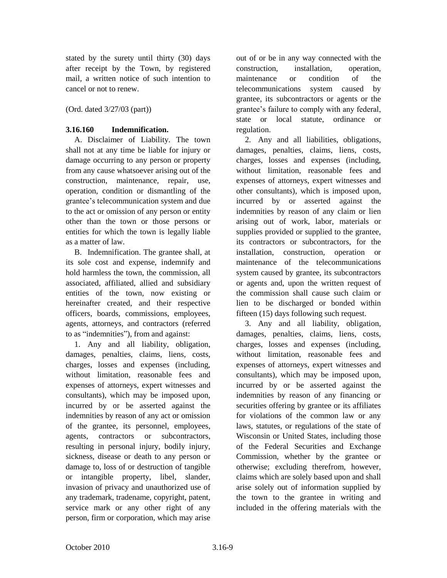stated by the surety until thirty (30) days after receipt by the Town, by registered mail, a written notice of such intention to cancel or not to renew.

(Ord. dated 3/27/03 (part))

#### **3.16.160 Indemnification.**

A. Disclaimer of Liability. The town shall not at any time be liable for injury or damage occurring to any person or property from any cause whatsoever arising out of the construction, maintenance, repair, use, operation, condition or dismantling of the grantee's telecommunication system and due to the act or omission of any person or entity other than the town or those persons or entities for which the town is legally liable as a matter of law.

B. Indemnification. The grantee shall, at its sole cost and expense, indemnify and hold harmless the town, the commission, all associated, affiliated, allied and subsidiary entities of the town, now existing or hereinafter created, and their respective officers, boards, commissions, employees, agents, attorneys, and contractors (referred to as "indemnities"), from and against:

1. Any and all liability, obligation, damages, penalties, claims, liens, costs, charges, losses and expenses (including, without limitation, reasonable fees and expenses of attorneys, expert witnesses and consultants), which may be imposed upon, incurred by or be asserted against the indemnities by reason of any act or omission of the grantee, its personnel, employees, agents, contractors or subcontractors, resulting in personal injury, bodily injury, sickness, disease or death to any person or damage to, loss of or destruction of tangible or intangible property, libel, slander, invasion of privacy and unauthorized use of any trademark, tradename, copyright, patent, service mark or any other right of any person, firm or corporation, which may arise

out of or be in any way connected with the construction, installation, operation, maintenance or condition of the telecommunications system caused by grantee, its subcontractors or agents or the grantee's failure to comply with any federal, state or local statute, ordinance or regulation.

2. Any and all liabilities, obligations, damages, penalties, claims, liens, costs, charges, losses and expenses (including, without limitation, reasonable fees and expenses of attorneys, expert witnesses and other consultants), which is imposed upon, incurred by or asserted against the indemnities by reason of any claim or lien arising out of work, labor, materials or supplies provided or supplied to the grantee, its contractors or subcontractors, for the installation, construction, operation or maintenance of the telecommunications system caused by grantee, its subcontractors or agents and, upon the written request of the commission shall cause such claim or lien to be discharged or bonded within fifteen (15) days following such request.

3. Any and all liability, obligation, damages, penalties, claims, liens, costs, charges, losses and expenses (including, without limitation, reasonable fees and expenses of attorneys, expert witnesses and consultants), which may be imposed upon, incurred by or be asserted against the indemnities by reason of any financing or securities offering by grantee or its affiliates for violations of the common law or any laws, statutes, or regulations of the state of Wisconsin or United States, including those of the Federal Securities and Exchange Commission, whether by the grantee or otherwise; excluding therefrom, however, claims which are solely based upon and shall arise solely out of information supplied by the town to the grantee in writing and included in the offering materials with the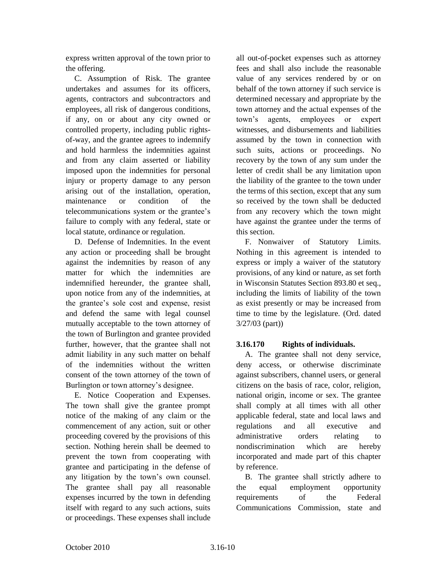express written approval of the town prior to the offering.

C. Assumption of Risk. The grantee undertakes and assumes for its officers, agents, contractors and subcontractors and employees, all risk of dangerous conditions, if any, on or about any city owned or controlled property, including public rightsof-way, and the grantee agrees to indemnify and hold harmless the indemnities against and from any claim asserted or liability imposed upon the indemnities for personal injury or property damage to any person arising out of the installation, operation, maintenance or condition of the telecommunications system or the grantee's failure to comply with any federal, state or local statute, ordinance or regulation.

D. Defense of Indemnities. In the event any action or proceeding shall be brought against the indemnities by reason of any matter for which the indemnities are indemnified hereunder, the grantee shall, upon notice from any of the indemnities, at the grantee's sole cost and expense, resist and defend the same with legal counsel mutually acceptable to the town attorney of the town of Burlington and grantee provided further, however, that the grantee shall not admit liability in any such matter on behalf of the indemnities without the written consent of the town attorney of the town of Burlington or town attorney's designee.

E. Notice Cooperation and Expenses. The town shall give the grantee prompt notice of the making of any claim or the commencement of any action, suit or other proceeding covered by the provisions of this section. Nothing herein shall be deemed to prevent the town from cooperating with grantee and participating in the defense of any litigation by the town's own counsel. The grantee shall pay all reasonable expenses incurred by the town in defending itself with regard to any such actions, suits or proceedings. These expenses shall include

all out-of-pocket expenses such as attorney fees and shall also include the reasonable value of any services rendered by or on behalf of the town attorney if such service is determined necessary and appropriate by the town attorney and the actual expenses of the town's agents, employees or expert witnesses, and disbursements and liabilities assumed by the town in connection with such suits, actions or proceedings. No recovery by the town of any sum under the letter of credit shall be any limitation upon the liability of the grantee to the town under the terms of this section, except that any sum so received by the town shall be deducted from any recovery which the town might have against the grantee under the terms of this section.

F. Nonwaiver of Statutory Limits. Nothing in this agreement is intended to express or imply a waiver of the statutory provisions, of any kind or nature, as set forth in Wisconsin Statutes Section 893.80 et seq., including the limits of liability of the town as exist presently or may be increased from time to time by the legislature. (Ord. dated 3/27/03 (part))

### **3.16.170 Rights of individuals.**

A. The grantee shall not deny service, deny access, or otherwise discriminate against subscribers, channel users, or general citizens on the basis of race, color, religion, national origin, income or sex. The grantee shall comply at all times with all other applicable federal, state and local laws and regulations and all executive and administrative orders relating to nondiscrimination which are hereby incorporated and made part of this chapter by reference.

B. The grantee shall strictly adhere to the equal employment opportunity requirements of the Federal Communications Commission, state and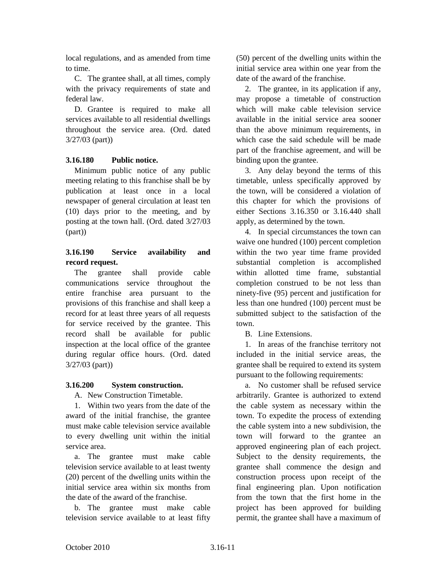local regulations, and as amended from time to time.

C. The grantee shall, at all times, comply with the privacy requirements of state and federal law.

D. Grantee is required to make all services available to all residential dwellings throughout the service area. (Ord. dated 3/27/03 (part))

## **3.16.180 Public notice.**

Minimum public notice of any public meeting relating to this franchise shall be by publication at least once in a local newspaper of general circulation at least ten (10) days prior to the meeting, and by posting at the town hall. (Ord. dated 3/27/03 (part))

### **3.16.190 Service availability and record request.**

The grantee shall provide cable communications service throughout the entire franchise area pursuant to the provisions of this franchise and shall keep a record for at least three years of all requests for service received by the grantee. This record shall be available for public inspection at the local office of the grantee during regular office hours. (Ord. dated 3/27/03 (part))

# **3.16.200 System construction.**

A. New Construction Timetable.

1. Within two years from the date of the award of the initial franchise, the grantee must make cable television service available to every dwelling unit within the initial service area.

a. The grantee must make cable television service available to at least twenty (20) percent of the dwelling units within the initial service area within six months from the date of the award of the franchise.

b. The grantee must make cable television service available to at least fifty

(50) percent of the dwelling units within the initial service area within one year from the date of the award of the franchise.

2. The grantee, in its application if any, may propose a timetable of construction which will make cable television service available in the initial service area sooner than the above minimum requirements, in which case the said schedule will be made part of the franchise agreement, and will be binding upon the grantee.

3. Any delay beyond the terms of this timetable, unless specifically approved by the town, will be considered a violation of this chapter for which the provisions of either Sections 3.16.350 or 3.16.440 shall apply, as determined by the town.

4. In special circumstances the town can waive one hundred (100) percent completion within the two year time frame provided substantial completion is accomplished within allotted time frame, substantial completion construed to be not less than ninety-five (95) percent and justification for less than one hundred (100) percent must be submitted subject to the satisfaction of the town.

B. Line Extensions.

1. In areas of the franchise territory not included in the initial service areas, the grantee shall be required to extend its system pursuant to the following requirements:

a. No customer shall be refused service arbitrarily. Grantee is authorized to extend the cable system as necessary within the town. To expedite the process of extending the cable system into a new subdivision, the town will forward to the grantee an approved engineering plan of each project. Subject to the density requirements, the grantee shall commence the design and construction process upon receipt of the final engineering plan. Upon notification from the town that the first home in the project has been approved for building permit, the grantee shall have a maximum of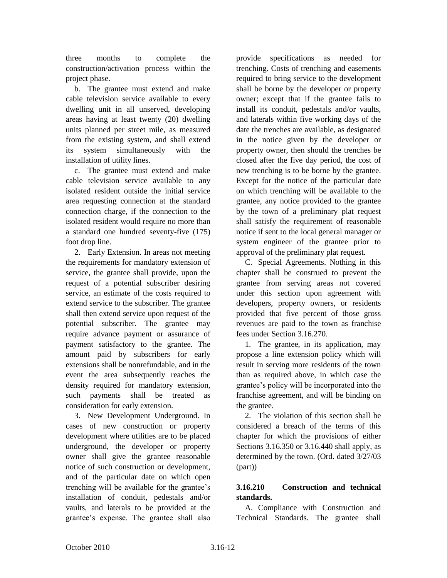three months to complete the construction/activation process within the project phase.

b. The grantee must extend and make cable television service available to every dwelling unit in all unserved, developing areas having at least twenty (20) dwelling units planned per street mile, as measured from the existing system, and shall extend its system simultaneously with the installation of utility lines.

c. The grantee must extend and make cable television service available to any isolated resident outside the initial service area requesting connection at the standard connection charge, if the connection to the isolated resident would require no more than a standard one hundred seventy-five (175) foot drop line.

2. Early Extension. In areas not meeting the requirements for mandatory extension of service, the grantee shall provide, upon the request of a potential subscriber desiring service, an estimate of the costs required to extend service to the subscriber. The grantee shall then extend service upon request of the potential subscriber. The grantee may require advance payment or assurance of payment satisfactory to the grantee. The amount paid by subscribers for early extensions shall be nonrefundable, and in the event the area subsequently reaches the density required for mandatory extension, such payments shall be treated as consideration for early extension.

3. New Development Underground. In cases of new construction or property development where utilities are to be placed underground, the developer or property owner shall give the grantee reasonable notice of such construction or development, and of the particular date on which open trenching will be available for the grantee's installation of conduit, pedestals and/or vaults, and laterals to be provided at the grantee's expense. The grantee shall also

provide specifications as needed for trenching. Costs of trenching and easements required to bring service to the development shall be borne by the developer or property owner; except that if the grantee fails to install its conduit, pedestals and/or vaults, and laterals within five working days of the date the trenches are available, as designated in the notice given by the developer or property owner, then should the trenches be closed after the five day period, the cost of new trenching is to be borne by the grantee. Except for the notice of the particular date on which trenching will be available to the grantee, any notice provided to the grantee by the town of a preliminary plat request shall satisfy the requirement of reasonable notice if sent to the local general manager or system engineer of the grantee prior to approval of the preliminary plat request.

C. Special Agreements. Nothing in this chapter shall be construed to prevent the grantee from serving areas not covered under this section upon agreement with developers, property owners, or residents provided that five percent of those gross revenues are paid to the town as franchise fees under Section 3.16.270.

1. The grantee, in its application, may propose a line extension policy which will result in serving more residents of the town than as required above, in which case the grantee's policy will be incorporated into the franchise agreement, and will be binding on the grantee.

2. The violation of this section shall be considered a breach of the terms of this chapter for which the provisions of either Sections 3.16.350 or 3.16.440 shall apply, as determined by the town. (Ord. dated 3/27/03 (part))

# **3.16.210 Construction and technical standards.**

A. Compliance with Construction and Technical Standards. The grantee shall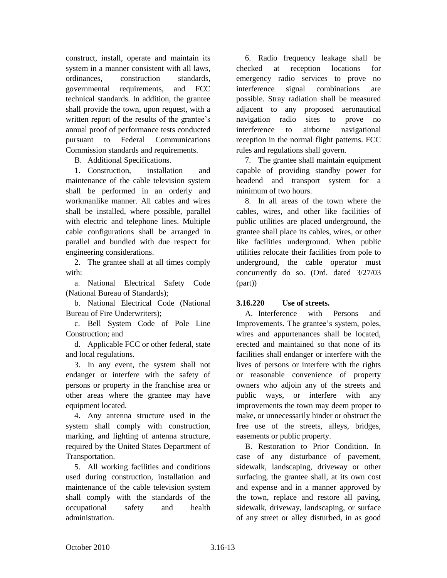construct, install, operate and maintain its system in a manner consistent with all laws, ordinances, construction standards, governmental requirements, and FCC technical standards. In addition, the grantee shall provide the town, upon request, with a written report of the results of the grantee's annual proof of performance tests conducted pursuant to Federal Communications Commission standards and requirements.

B. Additional Specifications.

1. Construction, installation and maintenance of the cable television system shall be performed in an orderly and workmanlike manner. All cables and wires shall be installed, where possible, parallel with electric and telephone lines. Multiple cable configurations shall be arranged in parallel and bundled with due respect for engineering considerations.

2. The grantee shall at all times comply with:

a. National Electrical Safety Code (National Bureau of Standards);

b. National Electrical Code (National Bureau of Fire Underwriters);

c. Bell System Code of Pole Line Construction; and

d. Applicable FCC or other federal, state and local regulations.

3. In any event, the system shall not endanger or interfere with the safety of persons or property in the franchise area or other areas where the grantee may have equipment located.

4. Any antenna structure used in the system shall comply with construction, marking, and lighting of antenna structure, required by the United States Department of Transportation.

5. All working facilities and conditions used during construction, installation and maintenance of the cable television system shall comply with the standards of the occupational safety and health administration.

6. Radio frequency leakage shall be checked at reception locations for emergency radio services to prove no interference signal combinations are possible. Stray radiation shall be measured adjacent to any proposed aeronautical navigation radio sites to prove no interference to airborne navigational reception in the normal flight patterns. FCC rules and regulations shall govern.

7. The grantee shall maintain equipment capable of providing standby power for headend and transport system for a minimum of two hours.

8. In all areas of the town where the cables, wires, and other like facilities of public utilities are placed underground, the grantee shall place its cables, wires, or other like facilities underground. When public utilities relocate their facilities from pole to underground, the cable operator must concurrently do so. (Ord. dated 3/27/03 (part))

### **3.16.220 Use of streets.**

A. Interference with Persons and Improvements. The grantee's system, poles, wires and appurtenances shall be located, erected and maintained so that none of its facilities shall endanger or interfere with the lives of persons or interfere with the rights or reasonable convenience of property owners who adjoin any of the streets and public ways, or interfere with any improvements the town may deem proper to make, or unnecessarily hinder or obstruct the free use of the streets, alleys, bridges, easements or public property.

B. Restoration to Prior Condition. In case of any disturbance of pavement, sidewalk, landscaping, driveway or other surfacing, the grantee shall, at its own cost and expense and in a manner approved by the town, replace and restore all paving, sidewalk, driveway, landscaping, or surface of any street or alley disturbed, in as good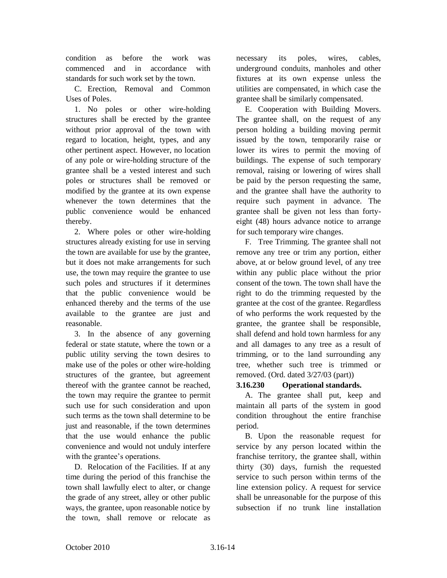condition as before the work was commenced and in accordance with standards for such work set by the town.

C. Erection, Removal and Common Uses of Poles.

1. No poles or other wire-holding structures shall be erected by the grantee without prior approval of the town with regard to location, height, types, and any other pertinent aspect. However, no location of any pole or wire-holding structure of the grantee shall be a vested interest and such poles or structures shall be removed or modified by the grantee at its own expense whenever the town determines that the public convenience would be enhanced thereby.

2. Where poles or other wire-holding structures already existing for use in serving the town are available for use by the grantee, but it does not make arrangements for such use, the town may require the grantee to use such poles and structures if it determines that the public convenience would be enhanced thereby and the terms of the use available to the grantee are just and reasonable.

3. In the absence of any governing federal or state statute, where the town or a public utility serving the town desires to make use of the poles or other wire-holding structures of the grantee, but agreement thereof with the grantee cannot be reached, the town may require the grantee to permit such use for such consideration and upon such terms as the town shall determine to be just and reasonable, if the town determines that the use would enhance the public convenience and would not unduly interfere with the grantee's operations.

D. Relocation of the Facilities. If at any time during the period of this franchise the town shall lawfully elect to alter, or change the grade of any street, alley or other public ways, the grantee, upon reasonable notice by the town, shall remove or relocate as

necessary its poles, wires, cables, underground conduits, manholes and other fixtures at its own expense unless the utilities are compensated, in which case the grantee shall be similarly compensated.

E. Cooperation with Building Movers. The grantee shall, on the request of any person holding a building moving permit issued by the town, temporarily raise or lower its wires to permit the moving of buildings. The expense of such temporary removal, raising or lowering of wires shall be paid by the person requesting the same, and the grantee shall have the authority to require such payment in advance. The grantee shall be given not less than fortyeight (48) hours advance notice to arrange for such temporary wire changes.

F. Tree Trimming. The grantee shall not remove any tree or trim any portion, either above, at or below ground level, of any tree within any public place without the prior consent of the town. The town shall have the right to do the trimming requested by the grantee at the cost of the grantee. Regardless of who performs the work requested by the grantee, the grantee shall be responsible, shall defend and hold town harmless for any and all damages to any tree as a result of trimming, or to the land surrounding any tree, whether such tree is trimmed or removed. (Ord. dated 3/27/03 (part))

### **3.16.230 Operational standards.**

A. The grantee shall put, keep and maintain all parts of the system in good condition throughout the entire franchise period.

B. Upon the reasonable request for service by any person located within the franchise territory, the grantee shall, within thirty (30) days, furnish the requested service to such person within terms of the line extension policy. A request for service shall be unreasonable for the purpose of this subsection if no trunk line installation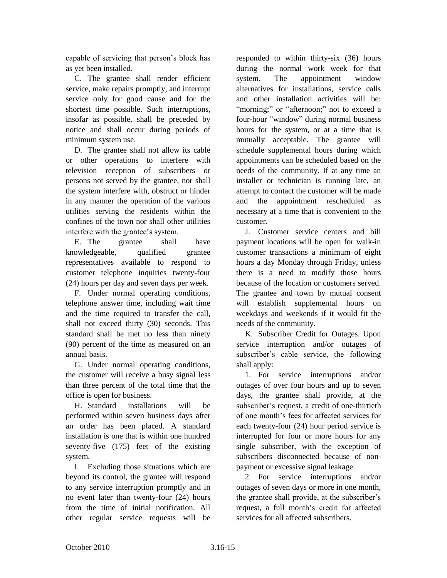capable of servicing that person's block has as yet been installed.

C. The grantee shall render efficient service, make repairs promptly, and interrupt service only for good cause and for the shortest time possible. Such interruptions, insofar as possible, shall be preceded by notice and shall occur during periods of minimum system use.

D. The grantee shall not allow its cable or other operations to interfere with television reception of subscribers or persons not served by the grantee, nor shall the system interfere with, obstruct or hinder in any manner the operation of the various utilities serving the residents within the confines of the town nor shall other utilities interfere with the grantee's system.

E. The grantee shall have knowledgeable, qualified grantee representatives available to respond to customer telephone inquiries twenty-four (24) hours per day and seven days per week.

F. Under normal operating conditions, telephone answer time, including wait time and the time required to transfer the call, shall not exceed thirty (30) seconds. This standard shall be met no less than ninety (90) percent of the time as measured on an annual basis.

G. Under normal operating conditions, the customer will receive a busy signal less than three percent of the total time that the office is open for business.

H. Standard installations will be performed within seven business days after an order has been placed. A standard installation is one that is within one hundred seventy-five (175) feet of the existing system.

I. Excluding those situations which are beyond its control, the grantee will respond to any service interruption promptly and in no event later than twenty-four (24) hours from the time of initial notification. All other regular service requests will be

responded to within thirty-six (36) hours during the normal work week for that system. The appointment window alternatives for installations, service calls and other installation activities will be: "morning;" or "afternoon;" not to exceed a four-hour "window" during normal business hours for the system, or at a time that is mutually acceptable. The grantee will schedule supplemental hours during which appointments can be scheduled based on the needs of the community. If at any time an installer or technician is running late, an attempt to contact the customer will be made and the appointment rescheduled as necessary at a time that is convenient to the customer.

J. Customer service centers and bill payment locations will be open for walk-in customer transactions a minimum of eight hours a day Monday through Friday, unless there is a need to modify those hours because of the location or customers served. The grantee and town by mutual consent will establish supplemental hours on weekdays and weekends if it would fit the needs of the community.

K. Subscriber Credit for Outages. Upon service interruption and/or outages of subscriber's cable service, the following shall apply:

1. For service interruptions and/or outages of over four hours and up to seven days, the grantee shall provide, at the subscriber's request, a credit of one-thirtieth of one month's fees for affected services for each twenty-four (24) hour period service is interrupted for four or more hours for any single subscriber, with the exception of subscribers disconnected because of nonpayment or excessive signal leakage.

2. For service interruptions and/or outages of seven days or more in one month, the grantee shall provide, at the subscriber's request, a full month's credit for affected services for all affected subscribers.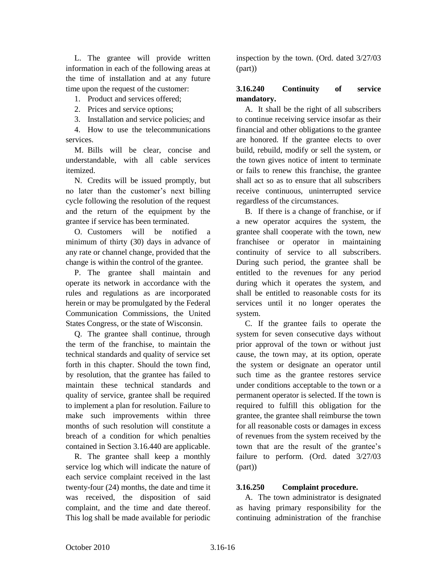L. The grantee will provide written information in each of the following areas at the time of installation and at any future time upon the request of the customer:

1. Product and services offered;

2. Prices and service options;

3. Installation and service policies; and

4. How to use the telecommunications services.

M. Bills will be clear, concise and understandable, with all cable services itemized.

N. Credits will be issued promptly, but no later than the customer's next billing cycle following the resolution of the request and the return of the equipment by the grantee if service has been terminated.

O. Customers will be notified a minimum of thirty (30) days in advance of any rate or channel change, provided that the change is within the control of the grantee.

P. The grantee shall maintain and operate its network in accordance with the rules and regulations as are incorporated herein or may be promulgated by the Federal Communication Commissions, the United States Congress, or the state of Wisconsin.

Q. The grantee shall continue, through the term of the franchise, to maintain the technical standards and quality of service set forth in this chapter. Should the town find, by resolution, that the grantee has failed to maintain these technical standards and quality of service, grantee shall be required to implement a plan for resolution. Failure to make such improvements within three months of such resolution will constitute a breach of a condition for which penalties contained in Section 3.16.440 are applicable.

R. The grantee shall keep a monthly service log which will indicate the nature of each service complaint received in the last twenty-four (24) months, the date and time it was received, the disposition of said complaint, and the time and date thereof. This log shall be made available for periodic

inspection by the town. (Ord. dated 3/27/03 (part))

### **3.16.240 Continuity of service mandatory.**

A. It shall be the right of all subscribers to continue receiving service insofar as their financial and other obligations to the grantee are honored. If the grantee elects to over build, rebuild, modify or sell the system, or the town gives notice of intent to terminate or fails to renew this franchise, the grantee shall act so as to ensure that all subscribers receive continuous, uninterrupted service regardless of the circumstances.

B. If there is a change of franchise, or if a new operator acquires the system, the grantee shall cooperate with the town, new franchisee or operator in maintaining continuity of service to all subscribers. During such period, the grantee shall be entitled to the revenues for any period during which it operates the system, and shall be entitled to reasonable costs for its services until it no longer operates the system.

C. If the grantee fails to operate the system for seven consecutive days without prior approval of the town or without just cause, the town may, at its option, operate the system or designate an operator until such time as the grantee restores service under conditions acceptable to the town or a permanent operator is selected. If the town is required to fulfill this obligation for the grantee, the grantee shall reimburse the town for all reasonable costs or damages in excess of revenues from the system received by the town that are the result of the grantee's failure to perform. (Ord. dated 3/27/03 (part))

### **3.16.250 Complaint procedure.**

A. The town administrator is designated as having primary responsibility for the continuing administration of the franchise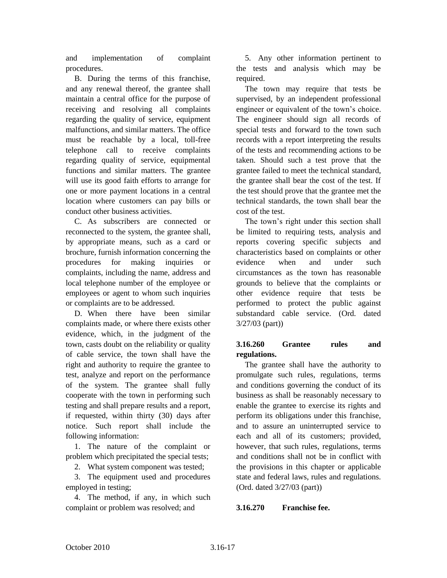and implementation of complaint procedures.

B. During the terms of this franchise, and any renewal thereof, the grantee shall maintain a central office for the purpose of receiving and resolving all complaints regarding the quality of service, equipment malfunctions, and similar matters. The office must be reachable by a local, toll-free telephone call to receive complaints regarding quality of service, equipmental functions and similar matters. The grantee will use its good faith efforts to arrange for one or more payment locations in a central location where customers can pay bills or conduct other business activities.

C. As subscribers are connected or reconnected to the system, the grantee shall, by appropriate means, such as a card or brochure, furnish information concerning the procedures for making inquiries or complaints, including the name, address and local telephone number of the employee or employees or agent to whom such inquiries or complaints are to be addressed.

D. When there have been similar complaints made, or where there exists other evidence, which, in the judgment of the town, casts doubt on the reliability or quality of cable service, the town shall have the right and authority to require the grantee to test, analyze and report on the performance of the system. The grantee shall fully cooperate with the town in performing such testing and shall prepare results and a report, if requested, within thirty (30) days after notice. Such report shall include the following information:

1. The nature of the complaint or problem which precipitated the special tests;

2. What system component was tested;

3. The equipment used and procedures employed in testing;

4. The method, if any, in which such complaint or problem was resolved; and

5. Any other information pertinent to the tests and analysis which may be required.

The town may require that tests be supervised, by an independent professional engineer or equivalent of the town's choice. The engineer should sign all records of special tests and forward to the town such records with a report interpreting the results of the tests and recommending actions to be taken. Should such a test prove that the grantee failed to meet the technical standard, the grantee shall bear the cost of the test. If the test should prove that the grantee met the technical standards, the town shall bear the cost of the test.

The town's right under this section shall be limited to requiring tests, analysis and reports covering specific subjects and characteristics based on complaints or other evidence when and under such circumstances as the town has reasonable grounds to believe that the complaints or other evidence require that tests be performed to protect the public against substandard cable service. (Ord. dated 3/27/03 (part))

### **3.16.260 Grantee rules and regulations.**

The grantee shall have the authority to promulgate such rules, regulations, terms and conditions governing the conduct of its business as shall be reasonably necessary to enable the grantee to exercise its rights and perform its obligations under this franchise, and to assure an uninterrupted service to each and all of its customers; provided, however, that such rules, regulations, terms and conditions shall not be in conflict with the provisions in this chapter or applicable state and federal laws, rules and regulations. (Ord. dated 3/27/03 (part))

### **3.16.270 Franchise fee.**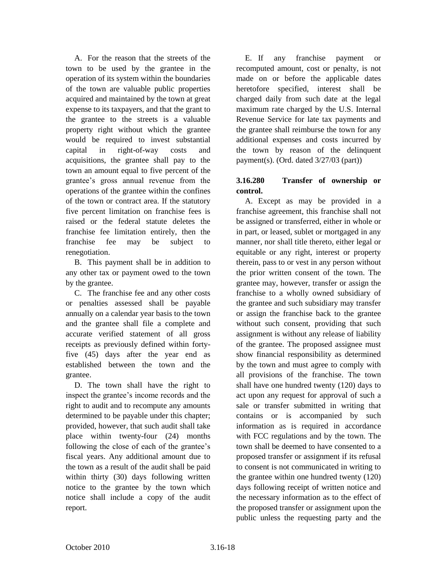A. For the reason that the streets of the town to be used by the grantee in the operation of its system within the boundaries of the town are valuable public properties acquired and maintained by the town at great expense to its taxpayers, and that the grant to the grantee to the streets is a valuable property right without which the grantee would be required to invest substantial capital in right-of-way costs and acquisitions, the grantee shall pay to the town an amount equal to five percent of the grantee's gross annual revenue from the operations of the grantee within the confines of the town or contract area. If the statutory five percent limitation on franchise fees is raised or the federal statute deletes the franchise fee limitation entirely, then the franchise fee may be subject to renegotiation.

B. This payment shall be in addition to any other tax or payment owed to the town by the grantee.

C. The franchise fee and any other costs or penalties assessed shall be payable annually on a calendar year basis to the town and the grantee shall file a complete and accurate verified statement of all gross receipts as previously defined within fortyfive (45) days after the year end as established between the town and the grantee.

D. The town shall have the right to inspect the grantee's income records and the right to audit and to recompute any amounts determined to be payable under this chapter; provided, however, that such audit shall take place within twenty-four (24) months following the close of each of the grantee's fiscal years. Any additional amount due to the town as a result of the audit shall be paid within thirty (30) days following written notice to the grantee by the town which notice shall include a copy of the audit report.

E. If any franchise payment or recomputed amount, cost or penalty, is not made on or before the applicable dates heretofore specified, interest shall be charged daily from such date at the legal maximum rate charged by the U.S. Internal Revenue Service for late tax payments and the grantee shall reimburse the town for any additional expenses and costs incurred by the town by reason of the delinquent payment(s). (Ord. dated 3/27/03 (part))

## **3.16.280 Transfer of ownership or control.**

A. Except as may be provided in a franchise agreement, this franchise shall not be assigned or transferred, either in whole or in part, or leased, sublet or mortgaged in any manner, nor shall title thereto, either legal or equitable or any right, interest or property therein, pass to or vest in any person without the prior written consent of the town. The grantee may, however, transfer or assign the franchise to a wholly owned subsidiary of the grantee and such subsidiary may transfer or assign the franchise back to the grantee without such consent, providing that such assignment is without any release of liability of the grantee. The proposed assignee must show financial responsibility as determined by the town and must agree to comply with all provisions of the franchise. The town shall have one hundred twenty (120) days to act upon any request for approval of such a sale or transfer submitted in writing that contains or is accompanied by such information as is required in accordance with FCC regulations and by the town. The town shall be deemed to have consented to a proposed transfer or assignment if its refusal to consent is not communicated in writing to the grantee within one hundred twenty (120) days following receipt of written notice and the necessary information as to the effect of the proposed transfer or assignment upon the public unless the requesting party and the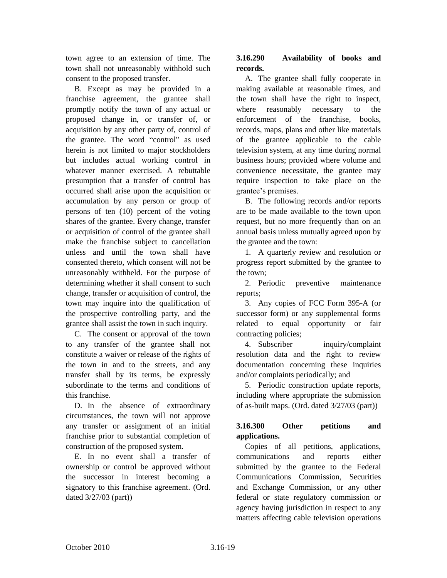town agree to an extension of time. The town shall not unreasonably withhold such consent to the proposed transfer.

B. Except as may be provided in a franchise agreement, the grantee shall promptly notify the town of any actual or proposed change in, or transfer of, or acquisition by any other party of, control of the grantee. The word "control" as used herein is not limited to major stockholders but includes actual working control in whatever manner exercised. A rebuttable presumption that a transfer of control has occurred shall arise upon the acquisition or accumulation by any person or group of persons of ten (10) percent of the voting shares of the grantee. Every change, transfer or acquisition of control of the grantee shall make the franchise subject to cancellation unless and until the town shall have consented thereto, which consent will not be unreasonably withheld. For the purpose of determining whether it shall consent to such change, transfer or acquisition of control, the town may inquire into the qualification of the prospective controlling party, and the grantee shall assist the town in such inquiry.

C. The consent or approval of the town to any transfer of the grantee shall not constitute a waiver or release of the rights of the town in and to the streets, and any transfer shall by its terms, be expressly subordinate to the terms and conditions of this franchise.

D. In the absence of extraordinary circumstances, the town will not approve any transfer or assignment of an initial franchise prior to substantial completion of construction of the proposed system.

E. In no event shall a transfer of ownership or control be approved without the successor in interest becoming a signatory to this franchise agreement. (Ord. dated 3/27/03 (part))

# **3.16.290 Availability of books and records.**

A. The grantee shall fully cooperate in making available at reasonable times, and the town shall have the right to inspect, where reasonably necessary to the enforcement of the franchise, books, records, maps, plans and other like materials of the grantee applicable to the cable television system, at any time during normal business hours; provided where volume and convenience necessitate, the grantee may require inspection to take place on the grantee's premises.

B. The following records and/or reports are to be made available to the town upon request, but no more frequently than on an annual basis unless mutually agreed upon by the grantee and the town:

1. A quarterly review and resolution or progress report submitted by the grantee to the town;

2. Periodic preventive maintenance reports;

3. Any copies of FCC Form 395-A (or successor form) or any supplemental forms related to equal opportunity or fair contracting policies;

4. Subscriber inquiry/complaint resolution data and the right to review documentation concerning these inquiries and/or complaints periodically; and

5. Periodic construction update reports, including where appropriate the submission of as-built maps. (Ord. dated 3/27/03 (part))

# **3.16.300 Other petitions and applications.**

Copies of all petitions, applications, communications and reports either submitted by the grantee to the Federal Communications Commission, Securities and Exchange Commission, or any other federal or state regulatory commission or agency having jurisdiction in respect to any matters affecting cable television operations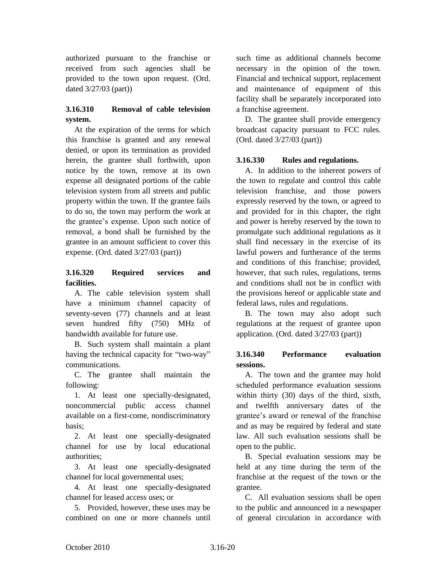authorized pursuant to the franchise or received from such agencies shall be provided to the town upon request. (Ord. dated 3/27/03 (part))

## **3.16.310 Removal of cable television system.**

At the expiration of the terms for which this franchise is granted and any renewal denied, or upon its termination as provided herein, the grantee shall forthwith, upon notice by the town, remove at its own expense all designated portions of the cable television system from all streets and public property within the town. If the grantee fails to do so, the town may perform the work at the grantee's expense. Upon such notice of removal, a bond shall be furnished by the grantee in an amount sufficient to cover this expense. (Ord. dated 3/27/03 (part))

## **3.16.320 Required services and facilities.**

A. The cable television system shall have a minimum channel capacity of seventy-seven (77) channels and at least seven hundred fifty (750) MHz of bandwidth available for future use.

B. Such system shall maintain a plant having the technical capacity for "two-way" communications.

C. The grantee shall maintain the following:

1. At least one specially-designated, noncommercial public access channel available on a first-come, nondiscriminatory basis;

2. At least one specially-designated channel for use by local educational authorities;

3. At least one specially-designated channel for local governmental uses;

4. At least one specially-designated channel for leased access uses; or

5. Provided, however, these uses may be combined on one or more channels until

such time as additional channels become necessary in the opinion of the town. Financial and technical support, replacement and maintenance of equipment of this facility shall be separately incorporated into a franchise agreement.

D. The grantee shall provide emergency broadcast capacity pursuant to FCC rules. (Ord. dated 3/27/03 (part))

## **3.16.330 Rules and regulations.**

A. In addition to the inherent powers of the town to regulate and control this cable television franchise, and those powers expressly reserved by the town, or agreed to and provided for in this chapter, the right and power is hereby reserved by the town to promulgate such additional regulations as it shall find necessary in the exercise of its lawful powers and furtherance of the terms and conditions of this franchise; provided, however, that such rules, regulations, terms and conditions shall not be in conflict with the provisions hereof or applicable state and federal laws, rules and regulations.

B. The town may also adopt such regulations at the request of grantee upon application. (Ord. dated 3/27/03 (part))

### **3.16.340 Performance evaluation sessions.**

A. The town and the grantee may hold scheduled performance evaluation sessions within thirty (30) days of the third, sixth, and twelfth anniversary dates of the grantee's award or renewal of the franchise and as may be required by federal and state law. All such evaluation sessions shall be open to the public.

B. Special evaluation sessions may be held at any time during the term of the franchise at the request of the town or the grantee.

C. All evaluation sessions shall be open to the public and announced in a newspaper of general circulation in accordance with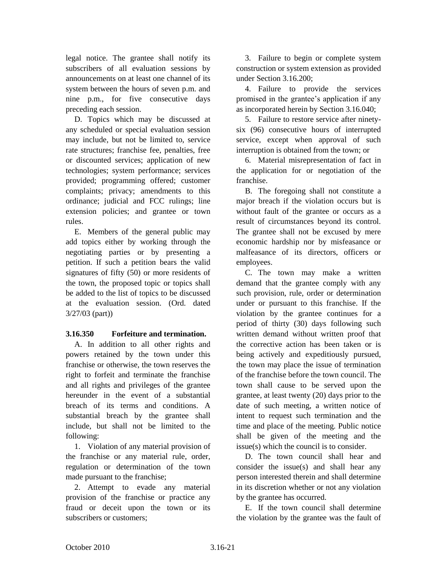legal notice. The grantee shall notify its subscribers of all evaluation sessions by announcements on at least one channel of its system between the hours of seven p.m. and nine p.m., for five consecutive days preceding each session.

D. Topics which may be discussed at any scheduled or special evaluation session may include, but not be limited to, service rate structures; franchise fee, penalties, free or discounted services; application of new technologies; system performance; services provided; programming offered; customer complaints; privacy; amendments to this ordinance; judicial and FCC rulings; line extension policies; and grantee or town rules.

E. Members of the general public may add topics either by working through the negotiating parties or by presenting a petition. If such a petition bears the valid signatures of fifty (50) or more residents of the town, the proposed topic or topics shall be added to the list of topics to be discussed at the evaluation session. (Ord. dated 3/27/03 (part))

#### **3.16.350 Forfeiture and termination.**

A. In addition to all other rights and powers retained by the town under this franchise or otherwise, the town reserves the right to forfeit and terminate the franchise and all rights and privileges of the grantee hereunder in the event of a substantial breach of its terms and conditions. A substantial breach by the grantee shall include, but shall not be limited to the following:

1. Violation of any material provision of the franchise or any material rule, order, regulation or determination of the town made pursuant to the franchise;

2. Attempt to evade any material provision of the franchise or practice any fraud or deceit upon the town or its subscribers or customers;

3. Failure to begin or complete system construction or system extension as provided under Section 3.16.200;

4. Failure to provide the services promised in the grantee's application if any as incorporated herein by Section 3.16.040;

5. Failure to restore service after ninetysix (96) consecutive hours of interrupted service, except when approval of such interruption is obtained from the town; or

6. Material misrepresentation of fact in the application for or negotiation of the franchise.

B. The foregoing shall not constitute a major breach if the violation occurs but is without fault of the grantee or occurs as a result of circumstances beyond its control. The grantee shall not be excused by mere economic hardship nor by misfeasance or malfeasance of its directors, officers or employees.

C. The town may make a written demand that the grantee comply with any such provision, rule, order or determination under or pursuant to this franchise. If the violation by the grantee continues for a period of thirty (30) days following such written demand without written proof that the corrective action has been taken or is being actively and expeditiously pursued, the town may place the issue of termination of the franchise before the town council. The town shall cause to be served upon the grantee, at least twenty (20) days prior to the date of such meeting, a written notice of intent to request such termination and the time and place of the meeting. Public notice shall be given of the meeting and the issue(s) which the council is to consider.

D. The town council shall hear and consider the issue(s) and shall hear any person interested therein and shall determine in its discretion whether or not any violation by the grantee has occurred.

E. If the town council shall determine the violation by the grantee was the fault of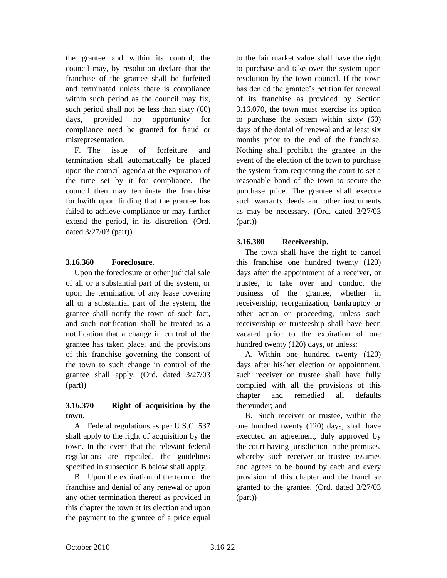the grantee and within its control, the council may, by resolution declare that the franchise of the grantee shall be forfeited and terminated unless there is compliance within such period as the council may fix, such period shall not be less than sixty (60) days, provided no opportunity for compliance need be granted for fraud or misrepresentation.

F. The issue of forfeiture and termination shall automatically be placed upon the council agenda at the expiration of the time set by it for compliance. The council then may terminate the franchise forthwith upon finding that the grantee has failed to achieve compliance or may further extend the period, in its discretion. (Ord. dated 3/27/03 (part))

#### **3.16.360 Foreclosure.**

Upon the foreclosure or other judicial sale of all or a substantial part of the system, or upon the termination of any lease covering all or a substantial part of the system, the grantee shall notify the town of such fact, and such notification shall be treated as a notification that a change in control of the grantee has taken place, and the provisions of this franchise governing the consent of the town to such change in control of the grantee shall apply. (Ord. dated 3/27/03 (part))

#### **3.16.370 Right of acquisition by the town.**

A. Federal regulations as per U.S.C. 537 shall apply to the right of acquisition by the town. In the event that the relevant federal regulations are repealed, the guidelines specified in subsection B below shall apply.

B. Upon the expiration of the term of the franchise and denial of any renewal or upon any other termination thereof as provided in this chapter the town at its election and upon the payment to the grantee of a price equal

to the fair market value shall have the right to purchase and take over the system upon resolution by the town council. If the town has denied the grantee's petition for renewal of its franchise as provided by Section 3.16.070, the town must exercise its option to purchase the system within sixty (60) days of the denial of renewal and at least six months prior to the end of the franchise. Nothing shall prohibit the grantee in the event of the election of the town to purchase the system from requesting the court to set a reasonable bond of the town to secure the purchase price. The grantee shall execute such warranty deeds and other instruments as may be necessary. (Ord. dated 3/27/03 (part))

#### **3.16.380 Receivership.**

The town shall have the right to cancel this franchise one hundred twenty (120) days after the appointment of a receiver, or trustee, to take over and conduct the business of the grantee, whether in receivership, reorganization, bankruptcy or other action or proceeding, unless such receivership or trusteeship shall have been vacated prior to the expiration of one hundred twenty (120) days, or unless:

A. Within one hundred twenty (120) days after his/her election or appointment, such receiver or trustee shall have fully complied with all the provisions of this chapter and remedied all defaults thereunder; and

B. Such receiver or trustee, within the one hundred twenty (120) days, shall have executed an agreement, duly approved by the court having jurisdiction in the premises, whereby such receiver or trustee assumes and agrees to be bound by each and every provision of this chapter and the franchise granted to the grantee. (Ord. dated 3/27/03 (part))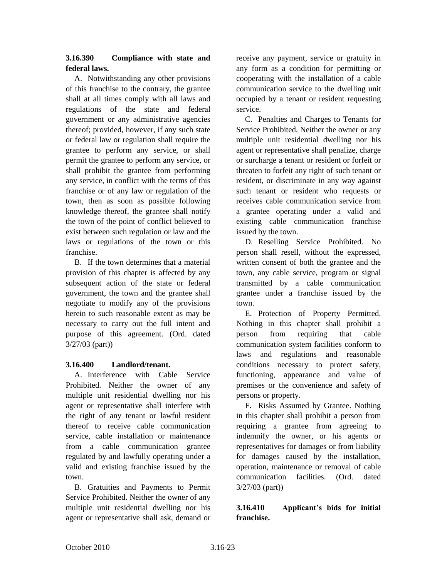## **3.16.390 Compliance with state and federal laws.**

A. Notwithstanding any other provisions of this franchise to the contrary, the grantee shall at all times comply with all laws and regulations of the state and federal government or any administrative agencies thereof; provided, however, if any such state or federal law or regulation shall require the grantee to perform any service, or shall permit the grantee to perform any service, or shall prohibit the grantee from performing any service, in conflict with the terms of this franchise or of any law or regulation of the town, then as soon as possible following knowledge thereof, the grantee shall notify the town of the point of conflict believed to exist between such regulation or law and the laws or regulations of the town or this franchise.

B. If the town determines that a material provision of this chapter is affected by any subsequent action of the state or federal government, the town and the grantee shall negotiate to modify any of the provisions herein to such reasonable extent as may be necessary to carry out the full intent and purpose of this agreement. (Ord. dated 3/27/03 (part))

# **3.16.400 Landlord/tenant.**

A. Interference with Cable Service Prohibited. Neither the owner of any multiple unit residential dwelling nor his agent or representative shall interfere with the right of any tenant or lawful resident thereof to receive cable communication service, cable installation or maintenance from a cable communication grantee regulated by and lawfully operating under a valid and existing franchise issued by the town.

B. Gratuities and Payments to Permit Service Prohibited. Neither the owner of any multiple unit residential dwelling nor his agent or representative shall ask, demand or

receive any payment, service or gratuity in any form as a condition for permitting or cooperating with the installation of a cable communication service to the dwelling unit occupied by a tenant or resident requesting service.

C. Penalties and Charges to Tenants for Service Prohibited. Neither the owner or any multiple unit residential dwelling nor his agent or representative shall penalize, charge or surcharge a tenant or resident or forfeit or threaten to forfeit any right of such tenant or resident, or discriminate in any way against such tenant or resident who requests or receives cable communication service from a grantee operating under a valid and existing cable communication franchise issued by the town.

D. Reselling Service Prohibited. No person shall resell, without the expressed, written consent of both the grantee and the town, any cable service, program or signal transmitted by a cable communication grantee under a franchise issued by the town.

E. Protection of Property Permitted. Nothing in this chapter shall prohibit a person from requiring that cable communication system facilities conform to laws and regulations and reasonable conditions necessary to protect safety, functioning, appearance and value of premises or the convenience and safety of persons or property.

F. Risks Assumed by Grantee. Nothing in this chapter shall prohibit a person from requiring a grantee from agreeing to indemnify the owner, or his agents or representatives for damages or from liability for damages caused by the installation, operation, maintenance or removal of cable communication facilities. (Ord. dated 3/27/03 (part))

# **3.16.410 Applicant's bids for initial franchise.**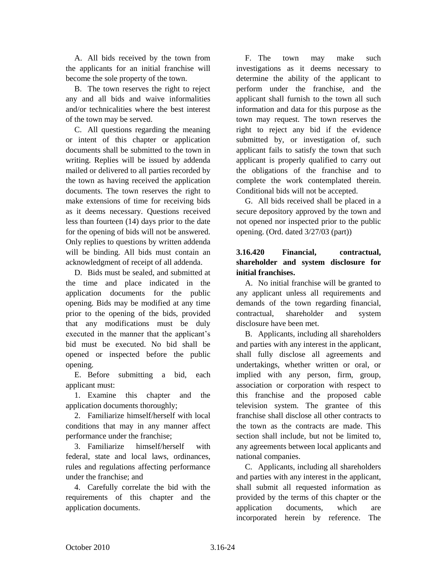A. All bids received by the town from the applicants for an initial franchise will become the sole property of the town.

B. The town reserves the right to reject any and all bids and waive informalities and/or technicalities where the best interest of the town may be served.

C. All questions regarding the meaning or intent of this chapter or application documents shall be submitted to the town in writing. Replies will be issued by addenda mailed or delivered to all parties recorded by the town as having received the application documents. The town reserves the right to make extensions of time for receiving bids as it deems necessary. Questions received less than fourteen (14) days prior to the date for the opening of bids will not be answered. Only replies to questions by written addenda will be binding. All bids must contain an acknowledgment of receipt of all addenda.

D. Bids must be sealed, and submitted at the time and place indicated in the application documents for the public opening. Bids may be modified at any time prior to the opening of the bids, provided that any modifications must be duly executed in the manner that the applicant's bid must be executed. No bid shall be opened or inspected before the public opening.

E. Before submitting a bid, each applicant must:

1. Examine this chapter and the application documents thoroughly;

2. Familiarize himself/herself with local conditions that may in any manner affect performance under the franchise;

3. Familiarize himself/herself with federal, state and local laws, ordinances, rules and regulations affecting performance under the franchise; and

4. Carefully correlate the bid with the requirements of this chapter and the application documents.

F. The town may make such investigations as it deems necessary to determine the ability of the applicant to perform under the franchise, and the applicant shall furnish to the town all such information and data for this purpose as the town may request. The town reserves the right to reject any bid if the evidence submitted by, or investigation of, such applicant fails to satisfy the town that such applicant is properly qualified to carry out the obligations of the franchise and to complete the work contemplated therein. Conditional bids will not be accepted.

G. All bids received shall be placed in a secure depository approved by the town and not opened nor inspected prior to the public opening. (Ord. dated 3/27/03 (part))

## **3.16.420 Financial, contractual, shareholder and system disclosure for initial franchises.**

A. No initial franchise will be granted to any applicant unless all requirements and demands of the town regarding financial, contractual, shareholder and system disclosure have been met.

B. Applicants, including all shareholders and parties with any interest in the applicant, shall fully disclose all agreements and undertakings, whether written or oral, or implied with any person, firm, group, association or corporation with respect to this franchise and the proposed cable television system. The grantee of this franchise shall disclose all other contracts to the town as the contracts are made. This section shall include, but not be limited to, any agreements between local applicants and national companies.

C. Applicants, including all shareholders and parties with any interest in the applicant, shall submit all requested information as provided by the terms of this chapter or the application documents, which are incorporated herein by reference. The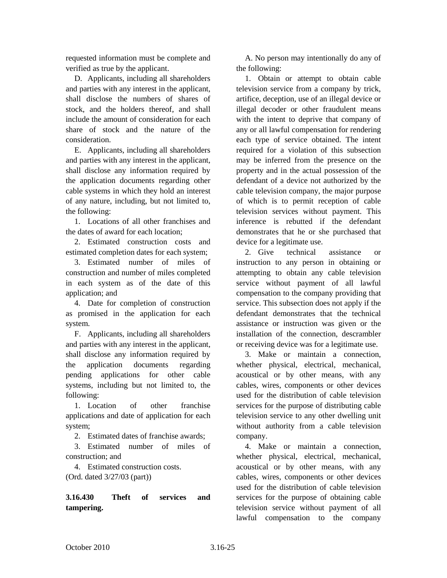requested information must be complete and verified as true by the applicant.

D. Applicants, including all shareholders and parties with any interest in the applicant, shall disclose the numbers of shares of stock, and the holders thereof, and shall include the amount of consideration for each share of stock and the nature of the consideration.

E. Applicants, including all shareholders and parties with any interest in the applicant, shall disclose any information required by the application documents regarding other cable systems in which they hold an interest of any nature, including, but not limited to, the following:

1. Locations of all other franchises and the dates of award for each location;

2. Estimated construction costs and estimated completion dates for each system;

3. Estimated number of miles of construction and number of miles completed in each system as of the date of this application; and

4. Date for completion of construction as promised in the application for each system.

F. Applicants, including all shareholders and parties with any interest in the applicant, shall disclose any information required by the application documents regarding pending applications for other cable systems, including but not limited to, the following:

1. Location of other franchise applications and date of application for each system;

2. Estimated dates of franchise awards;

3. Estimated number of miles of construction; and

4. Estimated construction costs.

(Ord. dated 3/27/03 (part))

# **3.16.430 Theft of services and tampering.**

A. No person may intentionally do any of the following:

1. Obtain or attempt to obtain cable television service from a company by trick, artifice, deception, use of an illegal device or illegal decoder or other fraudulent means with the intent to deprive that company of any or all lawful compensation for rendering each type of service obtained. The intent required for a violation of this subsection may be inferred from the presence on the property and in the actual possession of the defendant of a device not authorized by the cable television company, the major purpose of which is to permit reception of cable television services without payment. This inference is rebutted if the defendant demonstrates that he or she purchased that device for a legitimate use.

2. Give technical assistance or instruction to any person in obtaining or attempting to obtain any cable television service without payment of all lawful compensation to the company providing that service. This subsection does not apply if the defendant demonstrates that the technical assistance or instruction was given or the installation of the connection, descrambler or receiving device was for a legitimate use.

3. Make or maintain a connection, whether physical, electrical, mechanical, acoustical or by other means, with any cables, wires, components or other devices used for the distribution of cable television services for the purpose of distributing cable television service to any other dwelling unit without authority from a cable television company.

4. Make or maintain a connection, whether physical, electrical, mechanical, acoustical or by other means, with any cables, wires, components or other devices used for the distribution of cable television services for the purpose of obtaining cable television service without payment of all lawful compensation to the company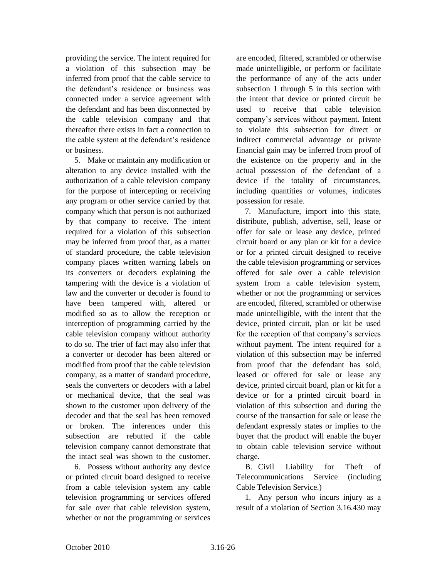providing the service. The intent required for a violation of this subsection may be inferred from proof that the cable service to the defendant's residence or business was connected under a service agreement with the defendant and has been disconnected by the cable television company and that thereafter there exists in fact a connection to the cable system at the defendant's residence or business.

5. Make or maintain any modification or alteration to any device installed with the authorization of a cable television company for the purpose of intercepting or receiving any program or other service carried by that company which that person is not authorized by that company to receive. The intent required for a violation of this subsection may be inferred from proof that, as a matter of standard procedure, the cable television company places written warning labels on its converters or decoders explaining the tampering with the device is a violation of law and the converter or decoder is found to have been tampered with, altered or modified so as to allow the reception or interception of programming carried by the cable television company without authority to do so. The trier of fact may also infer that a converter or decoder has been altered or modified from proof that the cable television company, as a matter of standard procedure, seals the converters or decoders with a label or mechanical device, that the seal was shown to the customer upon delivery of the decoder and that the seal has been removed or broken. The inferences under this subsection are rebutted if the cable television company cannot demonstrate that the intact seal was shown to the customer.

6. Possess without authority any device or printed circuit board designed to receive from a cable television system any cable television programming or services offered for sale over that cable television system, whether or not the programming or services

are encoded, filtered, scrambled or otherwise made unintelligible, or perform or facilitate the performance of any of the acts under subsection 1 through 5 in this section with the intent that device or printed circuit be used to receive that cable television company's services without payment. Intent to violate this subsection for direct or indirect commercial advantage or private financial gain may be inferred from proof of the existence on the property and in the actual possession of the defendant of a device if the totality of circumstances, including quantities or volumes, indicates possession for resale.

7. Manufacture, import into this state, distribute, publish, advertise, sell, lease or offer for sale or lease any device, printed circuit board or any plan or kit for a device or for a printed circuit designed to receive the cable television programming or services offered for sale over a cable television system from a cable television system, whether or not the programming or services are encoded, filtered, scrambled or otherwise made unintelligible, with the intent that the device, printed circuit, plan or kit be used for the reception of that company's services without payment. The intent required for a violation of this subsection may be inferred from proof that the defendant has sold, leased or offered for sale or lease any device, printed circuit board, plan or kit for a device or for a printed circuit board in violation of this subsection and during the course of the transaction for sale or lease the defendant expressly states or implies to the buyer that the product will enable the buyer to obtain cable television service without charge.

B. Civil Liability for Theft of Telecommunications Service (including Cable Television Service.)

1. Any person who incurs injury as a result of a violation of Section 3.16.430 may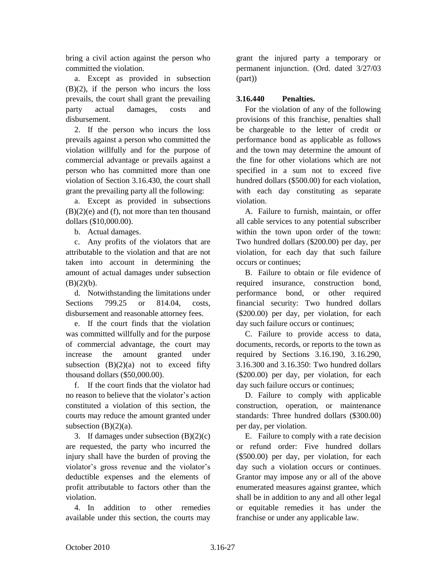bring a civil action against the person who committed the violation.

a. Except as provided in subsection  $(B)(2)$ , if the person who incurs the loss prevails, the court shall grant the prevailing party actual damages, costs and disbursement.

2. If the person who incurs the loss prevails against a person who committed the violation willfully and for the purpose of commercial advantage or prevails against a person who has committed more than one violation of Section 3.16.430, the court shall grant the prevailing party all the following:

a. Except as provided in subsections (B)(2)(e) and (f), not more than ten thousand dollars (\$10,000.00).

b. Actual damages.

c. Any profits of the violators that are attributable to the violation and that are not taken into account in determining the amount of actual damages under subsection  $(B)(2)(b)$ .

d. Notwithstanding the limitations under Sections 799.25 or 814.04, costs, disbursement and reasonable attorney fees.

e. If the court finds that the violation was committed willfully and for the purpose of commercial advantage, the court may increase the amount granted under subsection  $(B)(2)(a)$  not to exceed fifty thousand dollars (\$50,000.00).

f. If the court finds that the violator had no reason to believe that the violator's action constituted a violation of this section, the courts may reduce the amount granted under subsection  $(B)(2)(a)$ .

3. If damages under subsection  $(B)(2)(c)$ are requested, the party who incurred the injury shall have the burden of proving the violator's gross revenue and the violator's deductible expenses and the elements of profit attributable to factors other than the violation.

4. In addition to other remedies available under this section, the courts may

grant the injured party a temporary or permanent injunction. (Ord. dated 3/27/03 (part))

## **3.16.440 Penalties.**

For the violation of any of the following provisions of this franchise, penalties shall be chargeable to the letter of credit or performance bond as applicable as follows and the town may determine the amount of the fine for other violations which are not specified in a sum not to exceed five hundred dollars (\$500.00) for each violation, with each day constituting as separate violation.

A. Failure to furnish, maintain, or offer all cable services to any potential subscriber within the town upon order of the town: Two hundred dollars (\$200.00) per day, per violation, for each day that such failure occurs or continues;

B. Failure to obtain or file evidence of required insurance, construction bond, performance bond, or other required financial security: Two hundred dollars (\$200.00) per day, per violation, for each day such failure occurs or continues;

C. Failure to provide access to data, documents, records, or reports to the town as required by Sections 3.16.190, 3.16.290, 3.16.300 and 3.16.350: Two hundred dollars (\$200.00) per day, per violation, for each day such failure occurs or continues;

D. Failure to comply with applicable construction, operation, or maintenance standards: Three hundred dollars (\$300.00) per day, per violation.

E. Failure to comply with a rate decision or refund order: Five hundred dollars (\$500.00) per day, per violation, for each day such a violation occurs or continues. Grantor may impose any or all of the above enumerated measures against grantee, which shall be in addition to any and all other legal or equitable remedies it has under the franchise or under any applicable law.